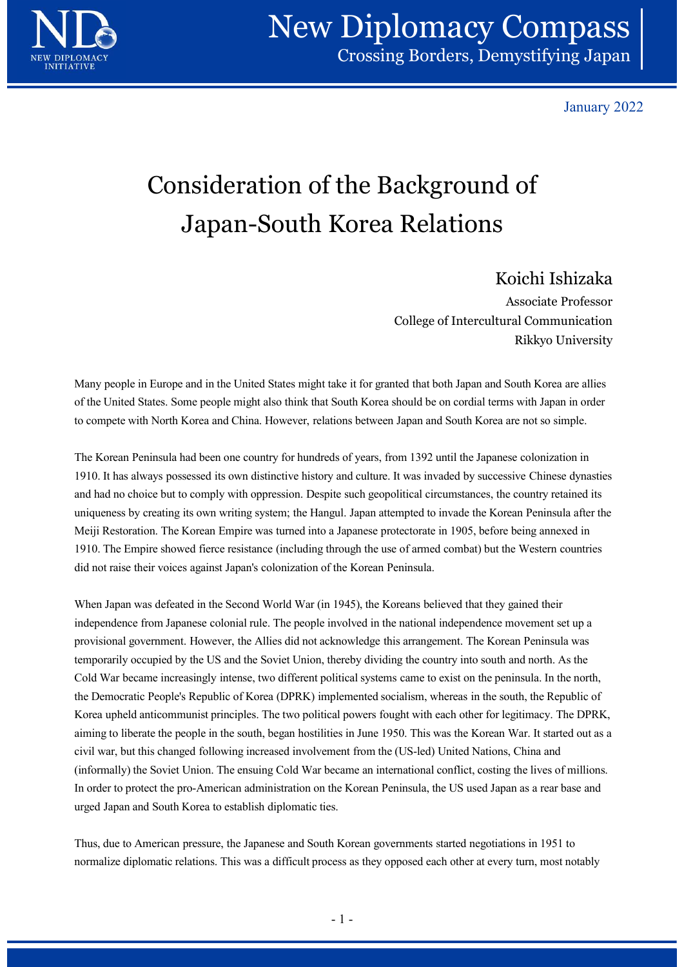

January 2022

## Consideration of the Background of Japan-South Korea Relations

## Koichi Ishizaka

Associate Professor College of Intercultural Communication Similary 2022<br>
Similary 2022<br>
Similary 2022<br>
Similary 2022<br>
Similary 2022<br>
Similary 2022<br>
Nichi Ishizaka<br>
Similary Communication<br>
Rikkyo University<br>
Nuth Korea are allies<br>
With Japan in order

Many people in Europe and in the United States might take it for granted that both Japan and South Korea are allies of the United States. Some people might also think that South Korea should be on cordial terms with Japan in order to compete with North Korea and China. However, relations between Japan and South Korea are not so simple.

The Korean Peninsula had been one country for hundreds of years, from 1392 until the Japanese colonization in 1910. It has always possessed its own distinctive history and culture. It was invaded by successive Chinese dynasties and had no choice but to comply with oppression. Despite such geopolitical circumstances, the country retained its uniqueness by creating its own writing system; the Hangul. Japan attempted to invade the Korean Peninsula after the Meiji Restoration. The Korean Empire was turned into a Japanese protectorate in 1905, before being annexed in 1912. Kothingthe members and halo members and the Empire showed the Empire of the Empire showed for the United States. Some people might also think that South Korea should be on cordial terms with Japan in other to compte did not raise their voices against Japan's colonization of the Korean Peninsula.

When Japan was defeated in the Second World War (in 1945), the Koreans believed that they gained their independence from Japanese colonial rule. The people involved in the national independence movement set up a provisional government. However, the Allies did not acknowledge this arrangement. The Korean Peninsula was temporarily occupied by the US and the Soviet Union, thereby dividing the country into south and north. As the Cold War became increasingly intense, two different political systems came to exist on the peninsula. In the north, the Democratic People's Republic of Korea (DPRK) implemented socialism, whereas in the south, the Republic of Korea upheld anticommunist principles. The two political powers fought with each other for legitimacy. The DPRK, aiming to liberate the people in the south, began hostilities in June 1950. This was the Korean War. It started out as a civil war, but this changed following increased involvement from the (US-led) United Nations, China and (informally) the Soviet Union. The ensuing Cold War became an international conflict, costing the lives of millions. In order to protect the pro-American administration on the Korean Peninsula, the US used Japan as a rear base and urged Japan and South Korea to establish diplomatic ties. nvolved in the national independence movement set up a<br>knowledge this arrangement. The Korean Peninsula was<br>hereby dividing the country into south and north. As the<br>litical systems came to exist on the peninsula. In the no

Thus, due to American pressure, the Japanese and South Korean governments started negotiations in 1951 to normalize diplomatic relations. This was a difficult process as they opposed each other at every turn, most notably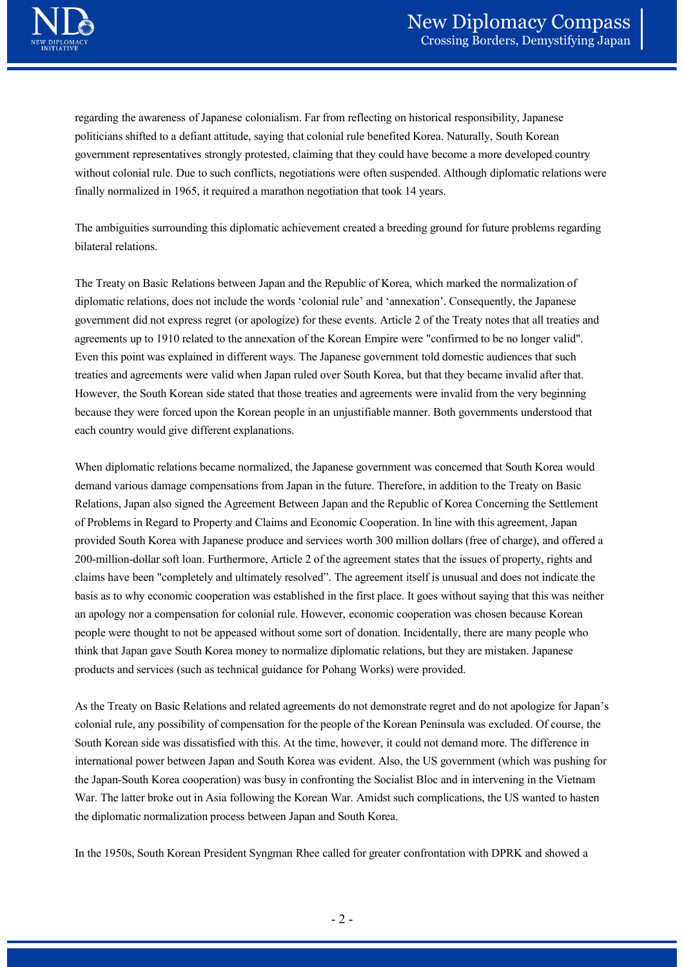regarding the awareness of Japanese colonialism. Far from reflecting on historical responsibility, Japanese politicians shifted to a defiant attitude, saying that colonial rule benefited Korea. Naturally, South Korean government representatives strongly protested, claiming that they could have become a more developed country without colonial rule. Due to such conflicts, negotiations were often suspended. Although diplomatic relations were finally normalized in 1965, it required a marathon negotiation that took 14 years.

The ambiguities surrounding this diplomatic achievement created a breeding ground for future problems regarding bilateral relations.

The Treaty on Basic Relations between Japan and the Republic of Korea, which marked the normalization of diplomatic relations, does not include the words 'colonial rule' and 'annexation'. Consequently, the Japanese government did not express regret (or apologize) for these events. Article 2 of the Treaty notes that all treaties and agreements up to 1910 related to the annexation of the Korean Empire were "confirmed to be no longer valid". Even this point was explained in different ways. The Japanese government told domestic audiences that such treaties and agreements were valid when Japan ruled over South Korea, but that they became invalid after that. However, the South Korean side stated that those treaties and agreements were invalid from the very beginning because they were forced upon the Korean people in an unjustifiable manner. Both governments understood that each country would give different explanations.

When diplomatic relations became normalized, the Japanese government was concerned that South Korea would demand various damage compensations from Japan in the future. Therefore, in addition to the Treaty on Basic Relations, Japan also signed the Agreement Between Japan and the Republic of Korea Concerning the Settlement of Problems in Regard to Property and Claims and Economic Cooperation. In line with this agreement, Japan provided South Korea with Japanese produce and services worth 300 million dollars (free of charge), and offered a 200-million-dollar soft loan. Furthermore, Article 2 of the agreement states that the issues of property, rights and claims have been "completely and ultimately resolved". The agreement itself is unusual and does not indicate the basis as to why economic cooperation was established in the first place. It goes without saying that this was neither an apology nor a compensation for colonial rule. However, economic cooperation was chosen because Korean people were thought to not be appeased without some sort of donation. Incidentally, there are many people who think that Japan gave South Korea money to normalize diplomatic relations, but they are mistaken. Japanese products and services (such as technical guidance for Pohang Works) were provided.

As the Treaty on Basic Relations and related agreements do not demonstrate regret and do not apologize for Japan's colonial rule, any possibility of compensation for the people of the Korean Peninsula was excluded. Of course, the South Korean side was dissatisfied with this. At the time, however, it could not demand more. The difference in international power between Japan and South Korea was evident. Also, the US government (which was pushing for the Japan-South Korea cooperation) was busy in confronting the Socialist Bloc and in intervening in the Vietnam War. The latter broke out in Asia following the Korean War. Amidst such complications, the US wanted to hasten the diplomatic normalization process between Japan and South Korea. ort of donation. Incidentally, there are many people who<br>diplomatic relations, but they are mistaken. Japanese<br>bhang Works) were provided.<br>s do not demonstrate regret and do not apologize for Japan's<br>ople of the Korean Pen

In the 1950s, South Korean President Syngman Rhee called for greater confrontation with DPRK and showed a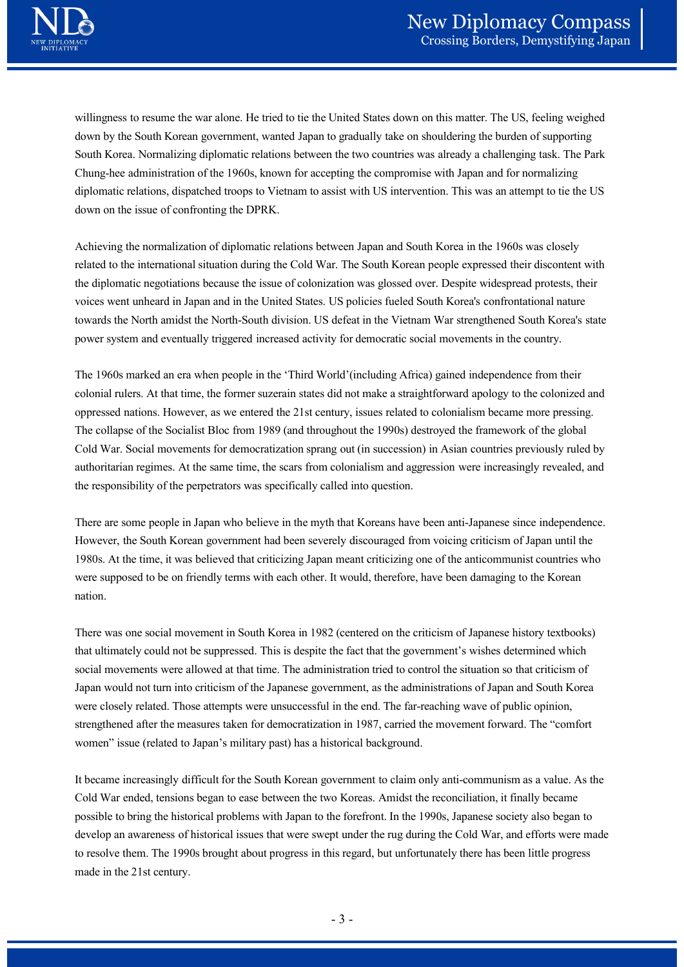willingness to resume the war alone. He tried to tie the United States down on this matter. The US, feeling weighed down by the South Korean government, wanted Japan to gradually take on shouldering the burden of supporting South Korea. Normalizing diplomatic relations between the two countries was already a challenging task. The Park **CHUNG MERET SERVICES COMPASS COMPASS**<br>
Crossing Borders, Demystifying Japan<br>
Willingness to resume the war alone. He tried to tie the United States down on this matter. The US, feeling weighed<br>
down by the South Korean go diplomatic relations, dispatched troops to Vietnam to assist with US intervention. This was an attempt to tie the US down on the issue of confronting the DPRK.

Achieving the normalization of diplomatic relations between Japan and South Korea in the 1960s was closely related to the international situation during the Cold War. The South Korean people expressed their discontent with the diplomatic negotiations because the issue of colonization was glossed over. Despite widespread protests, their voices went unheard in Japan and in the United States. US policies fueled South Korea's confrontational nature towards the North amidst the North-South division. US defeat in the Vietnam War strengthened South Korea's state power system and eventually triggered increased activity for democratic social movements in the country.

The 1960s marked an era when people in the 'Third World'(including Africa) gained independence from their colonial rulers. At that time, the former suzerain states did not make a straightforward apology to the colonized and oppressed nations. However, as we entered the 21st century, issues related to colonialism became more pressing. The collapse of the Socialist Bloc from 1989 (and throughout the 1990s) destroyed the framework of the global Cold War. Social movements for democratization sprang out (in succession) in Asian countries previously ruled by authoritarian regimes. At the same time, the scars from colonialism and aggression were increasingly revealed, and the responsibility of the perpetrators was specifically called into question. The 1960s marked an era when people in the "Third World"(including Africa) gained independence from their<br>colonial rulers. At that time, the former suzerain states did not make a straightforward apology to the colonized an

There are some people in Japan who believe in the myth that Koreans have been anti-Japanese since independence. However, the South Korean government had been severely discouraged from voicing criticism of Japan until the 1980s. At the time, it was believed that criticizing Japan meant criticizing one of the anticommunist countries who were supposed to be on friendly terms with each other. It would, therefore, have been damaging to the Korean nation.

There was one social movement in South Korea in 1982 (centered on the criticism of Japanese history textbooks) social movements were allowed at that time. The administration tried to control the situation so that criticism of Japan would not turn into criticism of the Japanese government, as the administrations of Japan and South Korea were closely related. Those attempts were unsuccessful in the end. The far-reaching wave of public opinion, strengthened after the measures taken for democratization in 1987, carried the movement forward. The "comfort women" issue (related to Japan's military past) has a historical background. 2 (centered on the criticism of Japanese history textbooks)<br>the fact that the government's wishes determined which<br>istration tried to control the situation so that criticism of<br>ernment, as the administrations of Japan and

It became increasingly difficult for the South Korean government to claim only anti-communism as a value. As the Cold War ended, tensions began to ease between the two Koreas. Amidst the reconciliation, it finally became possible to bring the historical problems with Japan to the forefront. In the 1990s, Japanese society also began to develop an awareness of historical issues that were swept under the rug during the Cold War, and efforts were made to resolve them. The 1990s brought about progress in this regard, but unfortunately there has been little progress made in the 21st century.